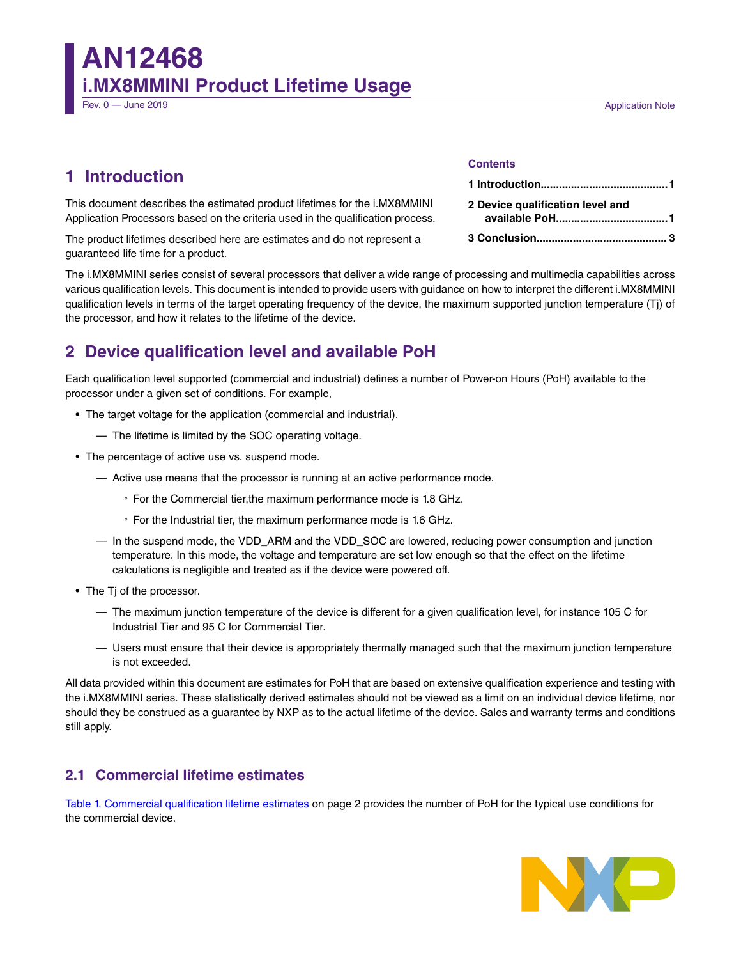# **AN12468 i.MX8MMINI Product Lifetime Usage**

## **Application Note**

# **1 Introduction**

This document describes the estimated product lifetimes for the i.MX8MMINI Application Processors based on the criteria used in the qualification process.

The product lifetimes described here are estimates and do not represent a guaranteed life time for a product.

The i.MX8MMINI series consist of several processors that deliver a wide range of processing and multimedia capabilities across various qualification levels. This document is intended to provide users with guidance on how to interpret the different i.MX8MMINI qualification levels in terms of the target operating frequency of the device, the maximum supported junction temperature (Tj) of the processor, and how it relates to the lifetime of the device.

## **2 Device qualification level and available PoH**

Each qualification level supported (commercial and industrial) defines a number of Power-on Hours (PoH) available to the processor under a given set of conditions. For example,

- The target voltage for the application (commercial and industrial).
	- The lifetime is limited by the SOC operating voltage.
- The percentage of active use vs. suspend mode.
	- Active use means that the processor is running at an active performance mode.
		- For the Commercial tier,the maximum performance mode is 1.8 GHz.
		- For the Industrial tier, the maximum performance mode is 1.6 GHz.
	- In the suspend mode, the VDD\_ARM and the VDD\_SOC are lowered, reducing power consumption and junction temperature. In this mode, the voltage and temperature are set low enough so that the effect on the lifetime calculations is negligible and treated as if the device were powered off.
- The Tj of the processor.
	- The maximum junction temperature of the device is different for a given qualification level, for instance 105 C for Industrial Tier and 95 C for Commercial Tier.
	- Users must ensure that their device is appropriately thermally managed such that the maximum junction temperature is not exceeded.

All data provided within this document are estimates for PoH that are based on extensive qualification experience and testing with the i.MX8MMINI series. These statistically derived estimates should not be viewed as a limit on an individual device lifetime, nor should they be construed as a guarantee by NXP as to the actual lifetime of the device. Sales and warranty terms and conditions still apply.

## **2.1 Commercial lifetime estimates**

[Table 1. Commercial qualification lifetime estimates](#page-1-0) on page 2 provides the number of PoH for the typical use conditions for the commercial device.



## **Contents**

| 2 Device qualification level and |
|----------------------------------|
|                                  |
|                                  |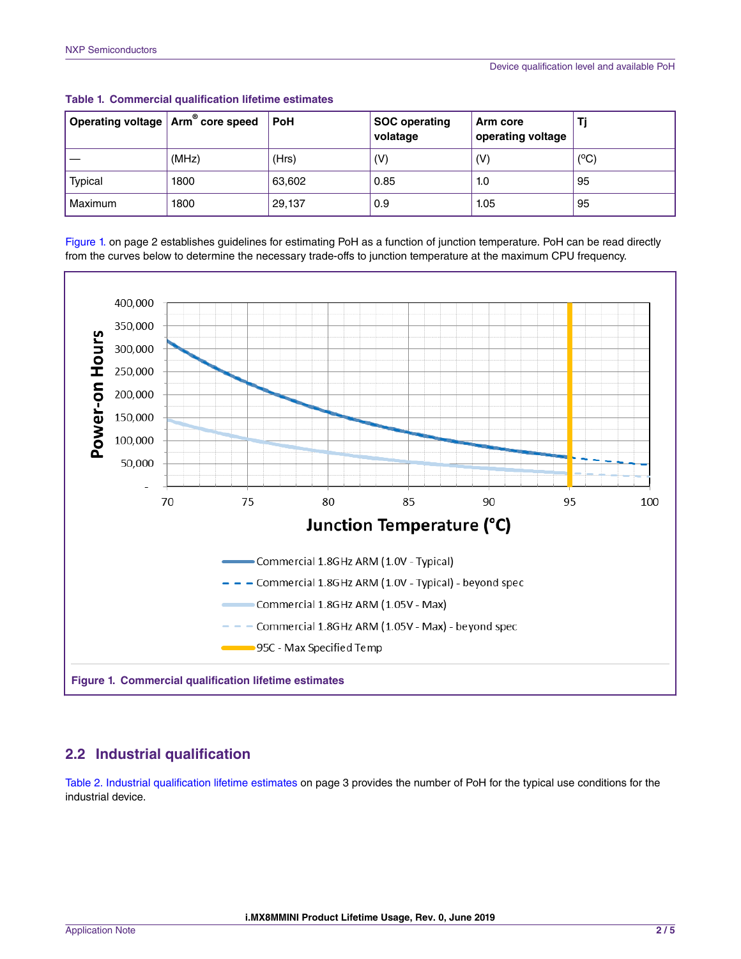| $^{\circ}$ Operating voltage $ $ Arm $^{\circ\!\!\circ}$ core speed |       | <b>PoH</b> | <b>SOC operating</b><br>volatage | Arm core<br>operating voltage |               |
|---------------------------------------------------------------------|-------|------------|----------------------------------|-------------------------------|---------------|
|                                                                     | (MHz) | (Hrs)      | (V)                              | (V)                           | $(^{\circ}C)$ |
| Typical                                                             | 1800  | 63,602     | 0.85                             | 1.0                           | 95            |
| Maximum                                                             | 1800  | 29,137     | 0.9                              | 1.05                          | 95            |

<span id="page-1-0"></span>**Table 1. Commercial qualification lifetime estimates**

Figure 1. on page 2 establishes guidelines for estimating PoH as a function of junction temperature. PoH can be read directly from the curves below to determine the necessary trade-offs to junction temperature at the maximum CPU frequency.



## **2.2 Industrial qualification**

[Table 2. Industrial qualification lifetime estimates](#page-2-0) on page 3 provides the number of PoH for the typical use conditions for the industrial device.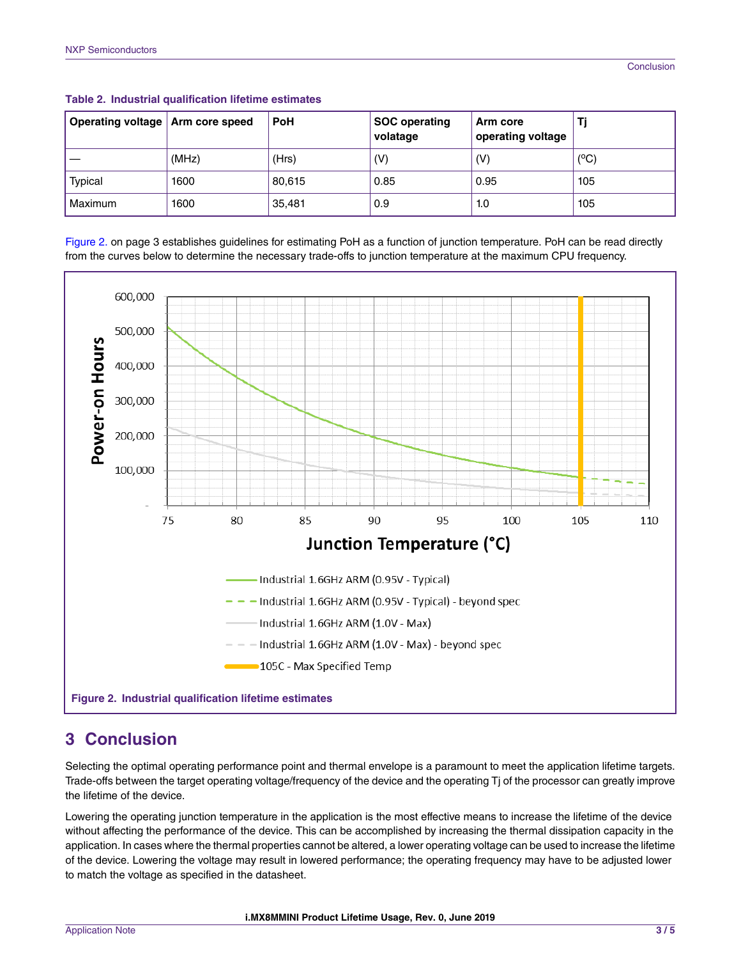| Operating voltage   Arm core speed |       | <b>PoH</b> | <b>SOC operating</b><br>volatage | Arm core<br>operating voltage |      |
|------------------------------------|-------|------------|----------------------------------|-------------------------------|------|
|                                    | (MHz) | (Hrs)      | (V)                              | (V)                           | (°C) |
| Typical                            | 1600  | 80,615     | 0.85                             | 0.95                          | 105  |
| Maximum                            | 1600  | 35,481     | 0.9                              | 1.0                           | 105  |

<span id="page-2-0"></span>**Table 2. Industrial qualification lifetime estimates**

Figure 2. on page 3 establishes guidelines for estimating PoH as a function of junction temperature. PoH can be read directly from the curves below to determine the necessary trade-offs to junction temperature at the maximum CPU frequency.



# **3 Conclusion**

Selecting the optimal operating performance point and thermal envelope is a paramount to meet the application lifetime targets. Trade-offs between the target operating voltage/frequency of the device and the operating Tj of the processor can greatly improve the lifetime of the device.

Lowering the operating junction temperature in the application is the most effective means to increase the lifetime of the device without affecting the performance of the device. This can be accomplished by increasing the thermal dissipation capacity in the application. In cases where the thermal properties cannot be altered, a lower operating voltage can be used to increase the lifetime of the device. Lowering the voltage may result in lowered performance; the operating frequency may have to be adjusted lower to match the voltage as specified in the datasheet.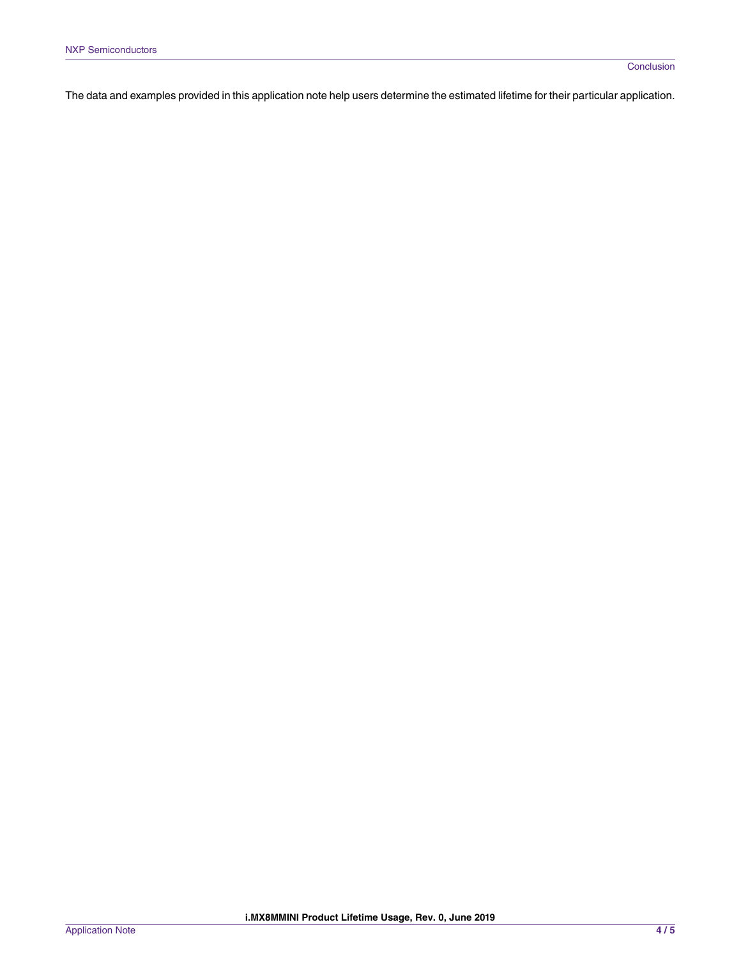The data and examples provided in this application note help users determine the estimated lifetime for their particular application.